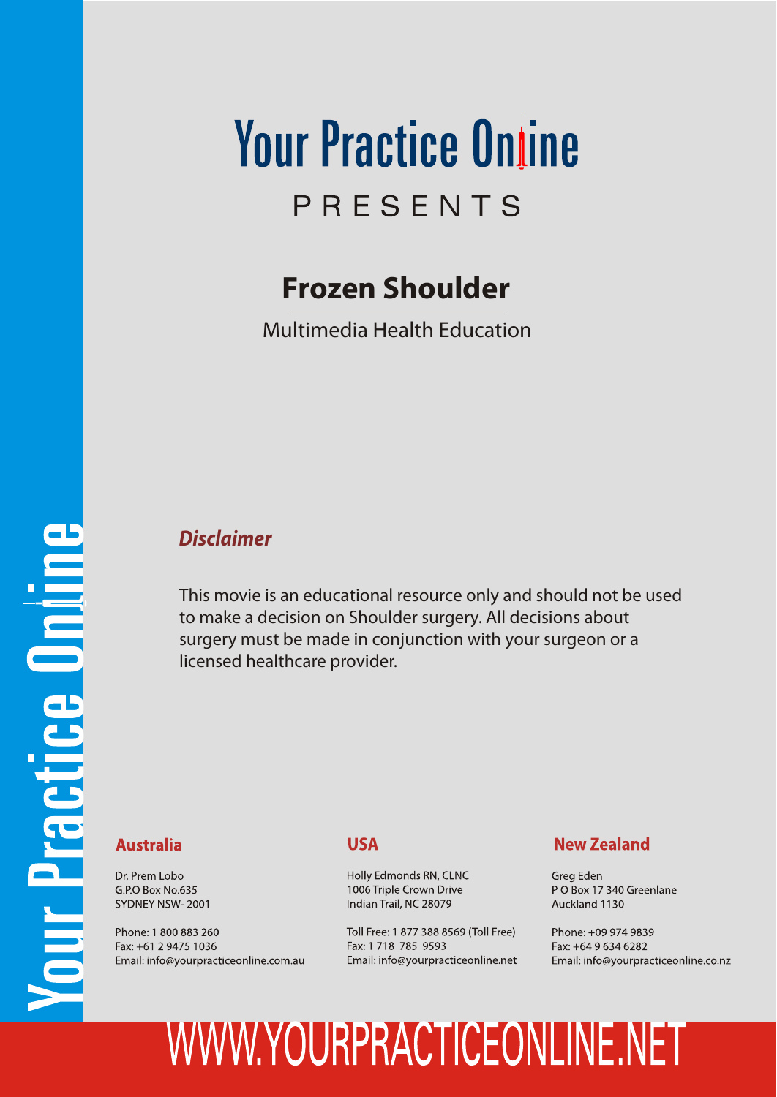## **Your Practice Online** PRESENTS

#### **Frozen Shoulder**

Multimedia Health Education

# our Practice Online

#### *Disclaimer*

This movie is an educational resource only and should not be used to make a decision on Shoulder surgery. All decisions about surgery must be made in conjunction with your surgeon or a licensed healthcare provider.

#### **Australia**

Dr. Prem Lobo G.P.O Box No.635 SYDNEY NSW-2001

Phone: 1 800 883 260 Fax: +61 2 9475 1036 Email: info@yourpracticeonline.com.au

#### **USA**

Holly Edmonds RN, CLNC 1006 Triple Crown Drive Indian Trail, NC 28079

Toll Free: 1 877 388 8569 (Toll Free) Fax: 1 718 785 9593 Email: info@yourpracticeonline.net

#### **New Zealand**

Greg Eden PO Box 17 340 Greenlane Auckland 1130

Phone: +09 974 9839 Fax: +64 9 634 6282 Email: info@yourpracticeonline.co.nz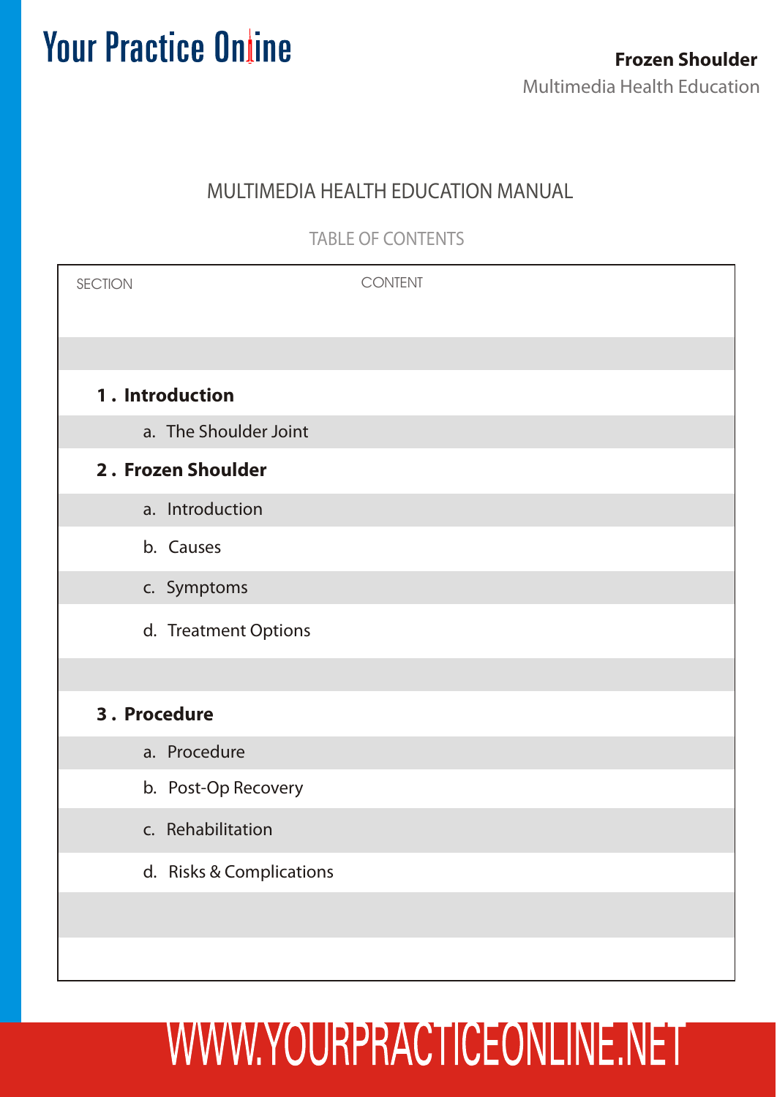#### MULTIMEDIA HEALTH EDUCATION MANUAL

TABLE OF CONTENTS

| <b>SECTION</b>     | <b>CONTENT</b>           |  |
|--------------------|--------------------------|--|
|                    |                          |  |
| 1. Introduction    |                          |  |
|                    | a. The Shoulder Joint    |  |
| 2. Frozen Shoulder |                          |  |
|                    | a. Introduction          |  |
|                    | b. Causes                |  |
|                    | c. Symptoms              |  |
|                    | d. Treatment Options     |  |
|                    |                          |  |
| 3. Procedure       |                          |  |
|                    | a. Procedure             |  |
|                    | b. Post-Op Recovery      |  |
|                    | c. Rehabilitation        |  |
|                    | d. Risks & Complications |  |
|                    |                          |  |
|                    |                          |  |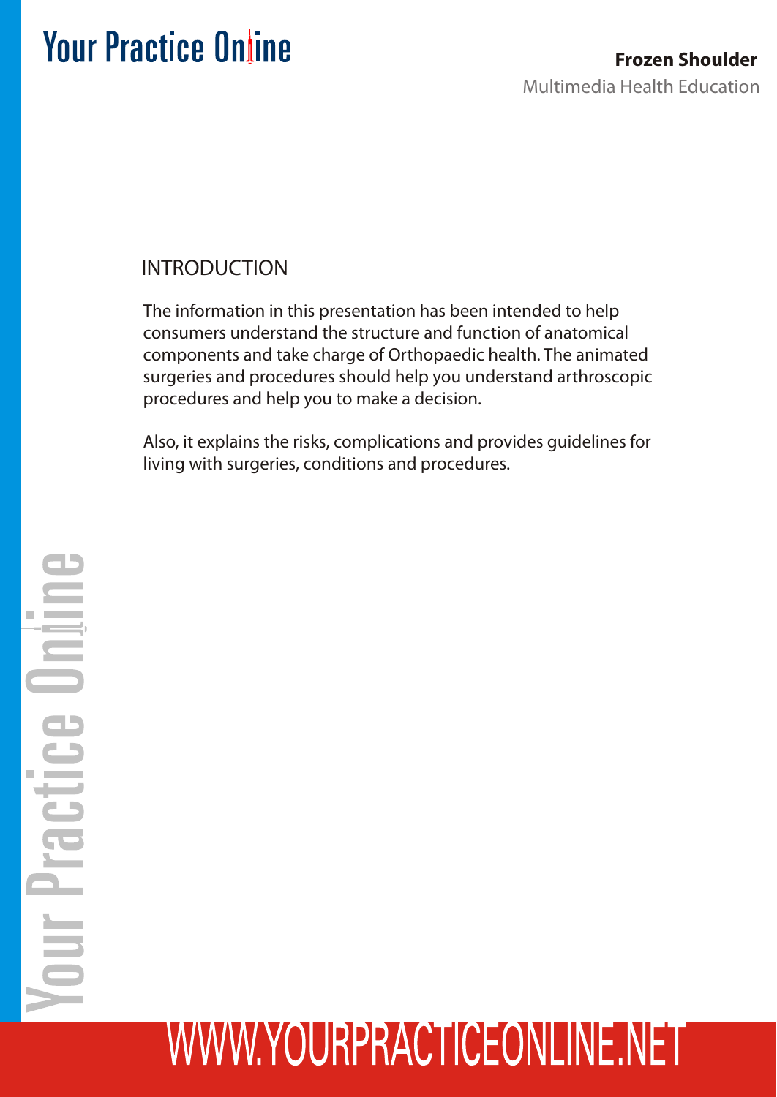#### INTRODUCTION

The information in this presentation has been intended to help consumers understand the structure and function of anatomical components and take charge of Orthopaedic health. The animated surgeries and procedures should help you understand arthroscopic procedures and help you to make a decision.

Also, it explains the risks, complications and provides guidelines for living with surgeries, conditions and procedures.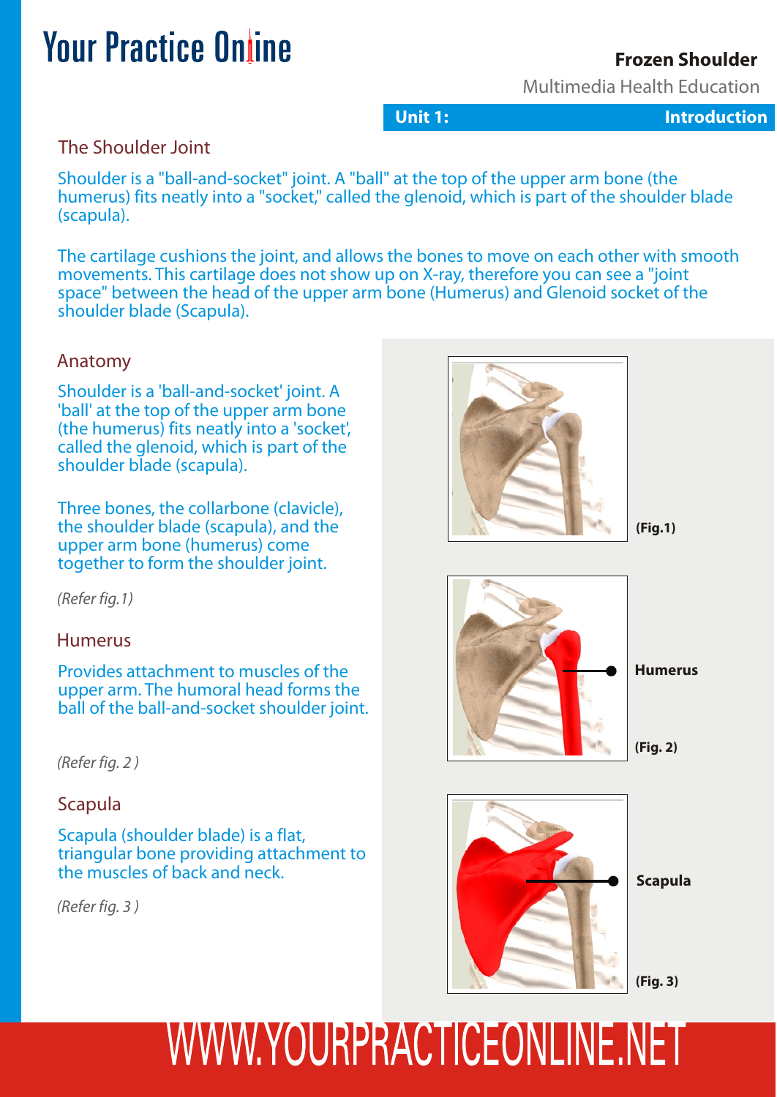#### **Frozen Shoulder**

Multimedia Health Education

**Unit 1:** Introduction

#### The Shoulder Joint

Shoulder is a "ball-and-socket" joint. A "ball" at the top of the upper arm bone (the humerus) fits neatly into a "socket," called the glenoid, which is part of the shoulder blade (scapula).

The cartilage cushions the joint, and allows the bones to move on each other with smooth movements. This cartilage does not show up on X-ray, therefore you can see a "joint space" between the head of the upper arm bone (Humerus) and Glenoid socket of the shoulder blade (Scapula).

#### Anatomy

Shoulder is a 'ball-and-socket' joint. A 'ball' at the top of the upper arm bone (the humerus) fits neatly into a 'socket', called the glenoid, which is part of the shoulder blade (scapula).

Three bones, the collarbone (clavicle), the shoulder blade (scapula), and the upper arm bone (humerus) come together to form the shoulder joint.

*(Refer fig.1)*

#### Humerus

Provides attachment to muscles of the upper arm. The humoral head forms the ball of the ball-and-socket shoulder joint.

*(Refer fig. 2 )*

#### Scapula

Scapula (shoulder blade) is a flat, triangular bone providing attachment to the muscles of back and neck.

*(Refer fig. 3 )*







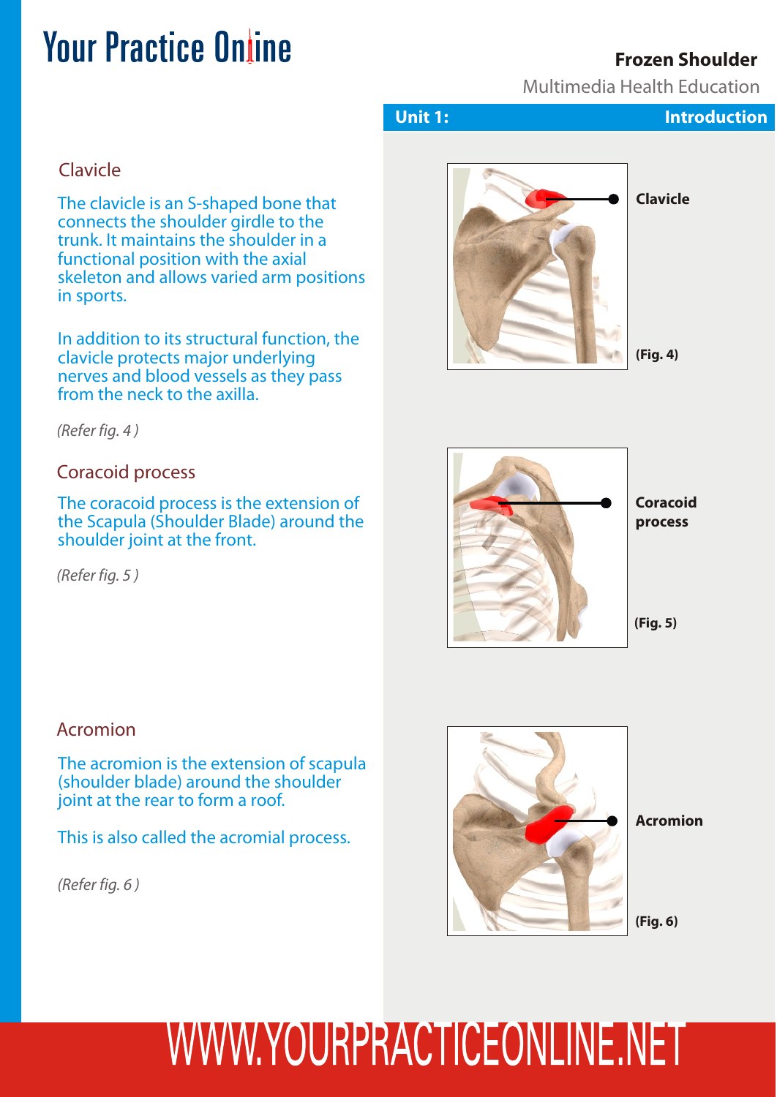#### **Frozen Shoulder**

Multimedia Health Education

#### Clavicle

The clavicle is an S-shaped bone that connects the shoulder girdle to the trunk. It maintains the shoulder in a functional position with the axial skeleton and allows varied arm positions in sports.

In addition to its structural function, the clavicle protects major underlying nerves and blood vessels as they pass from the neck to the axilla.

*(Refer fig. 4 )*

#### Coracoid process

The coracoid process is the extension of the Scapula (Shoulder Blade) around the shoulder joint at the front.

*(Refer fig. 5 )*

#### Acromion

The acromion is the extension of scapula (shoulder blade) around the shoulder joint at the rear to form a roof.

This is also called the acromial process.

*(Refer fig. 6 )*







**Acromion**

**(Fig. 6)**

## WWW.YOURPRACTICEONLINE.NET

#### **Unit 1:** Introduction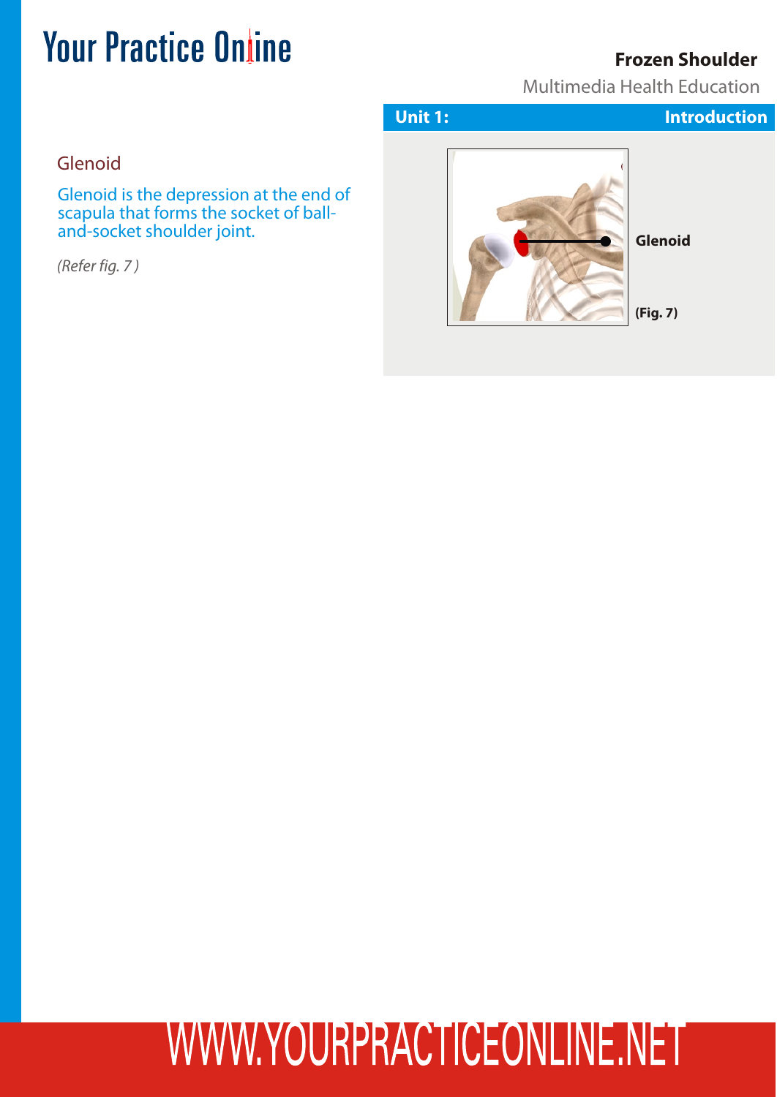#### **Frozen Shoulder**

Multimedia Health Education

Glenoid

Glenoid is the depression at the end of scapula that forms the socket of balland-socket shoulder joint.

*(Refer fig. 7 )*



**(Fig. 7)**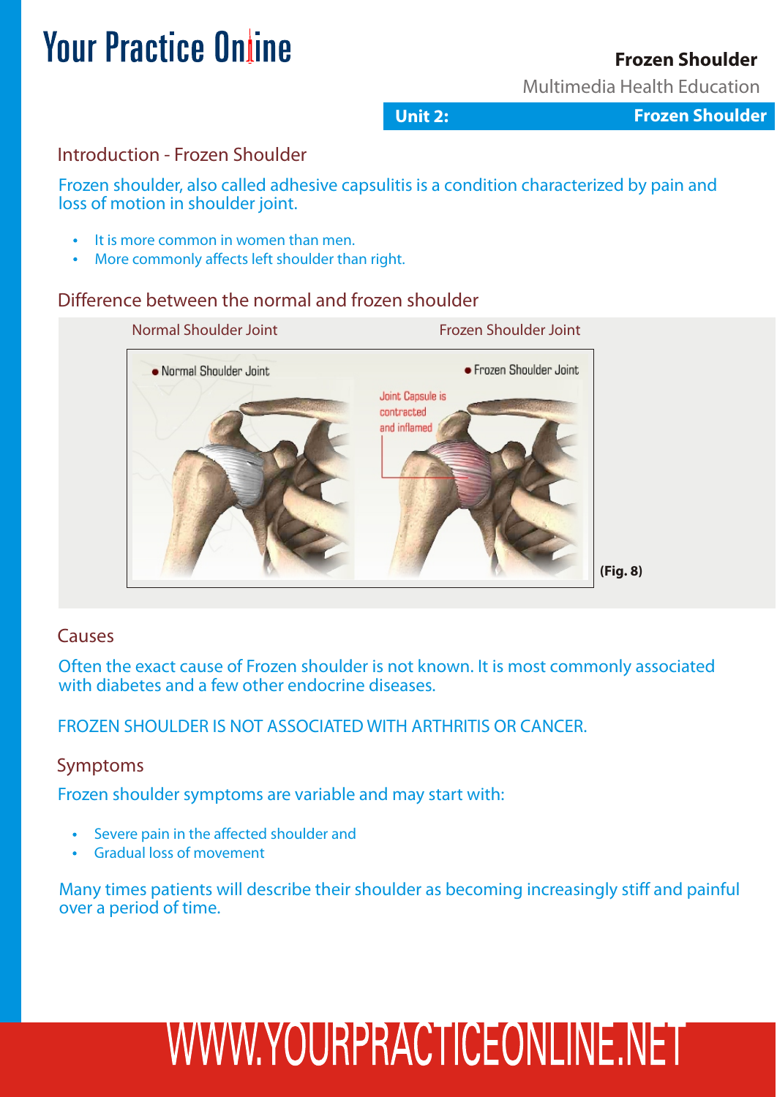#### **Frozen Shoulder**

Multimedia Health Education

**Unit 2: Frozen Shoulder** 

#### Introduction - Frozen Shoulder

Frozen shoulder, also called adhesive capsulitis is a condition characterized by pain and loss of motion in shoulder joint.

- It is more common in women than men.
- More commonly affects left shoulder than right.

#### Difference between the normal and frozen shoulder



#### Causes

Often the exact cause of Frozen shoulder is not known. It is most commonly associated with diabetes and a few other endocrine diseases.

FROZEN SHOULDER IS NOT ASSOCIATED WITH ARTHRITIS OR CANCER.

#### Symptoms

Frozen shoulder symptoms are variable and may start with:

- Severe pain in the affected shoulder and
- Gradual loss of movement

Many times patients will describe their shoulder as becoming increasingly stiff and painful over a period of time.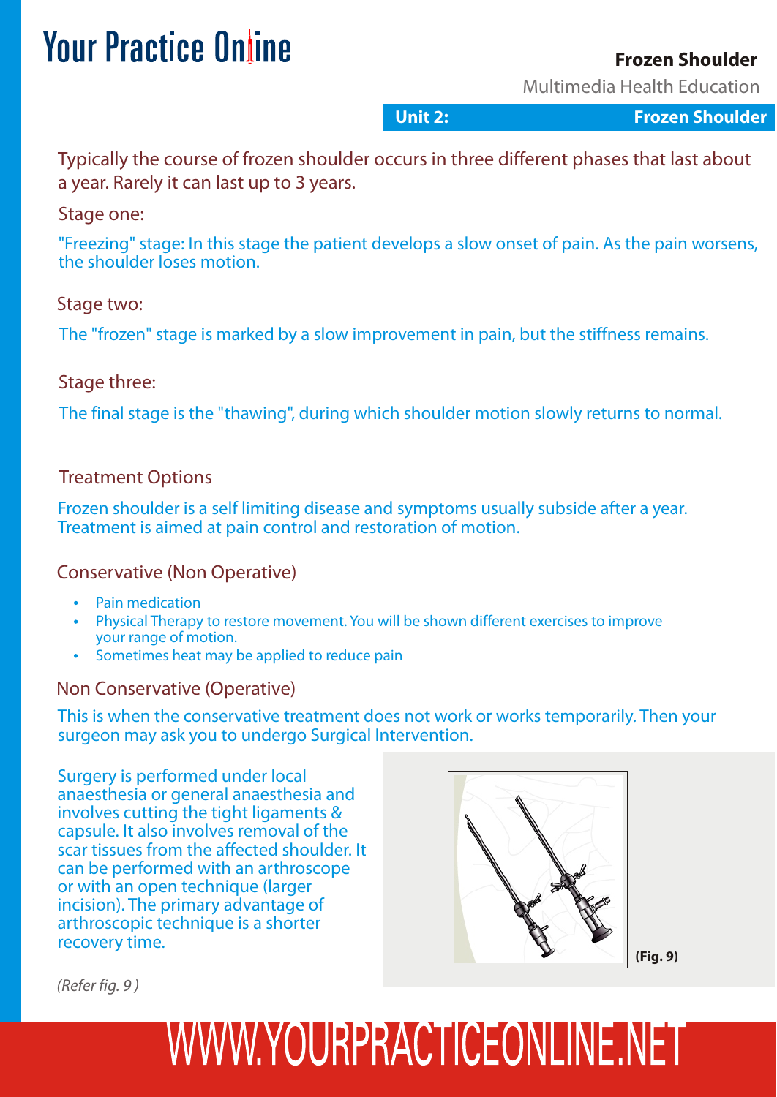#### **Frozen Shoulder**

Multimedia Health Education

**Unit 2: Frozen Shoulder** 

Typically the course of frozen shoulder occurs in three different phases that last about a year. Rarely it can last up to 3 years.

#### Stage one:

"Freezing" stage: In this stage the patient develops a slow onset of pain. As the pain worsens, the shoulder loses motion.

#### Stage two:

The "frozen" stage is marked by a slow improvement in pain, but the stiffness remains.

#### Stage three:

The final stage is the "thawing", during which shoulder motion slowly returns to normal.

#### Treatment Options

Frozen shoulder is a self limiting disease and symptoms usually subside after a year. Treatment is aimed at pain control and restoration of motion.

#### Conservative (Non Operative)

- Pain medication
- Physical Therapy to restore movement. You will be shown different exercises to improve your range of motion.
- Sometimes heat may be applied to reduce pain

#### Non Conservative (Operative)

This is when the conservative treatment does not work or works temporarily. Then your surgeon may ask you to undergo Surgical Intervention.

Surgery is performed under local anaesthesia or general anaesthesia and involves cutting the tight ligaments & capsule. It also involves removal of the scar tissues from the affected shoulder. It can be performed with an arthroscope or with an open technique (larger incision). The primary advantage of arthroscopic technique is a shorter recovery time.



**(Fig. 9)**

*(Refer fig. 9 )*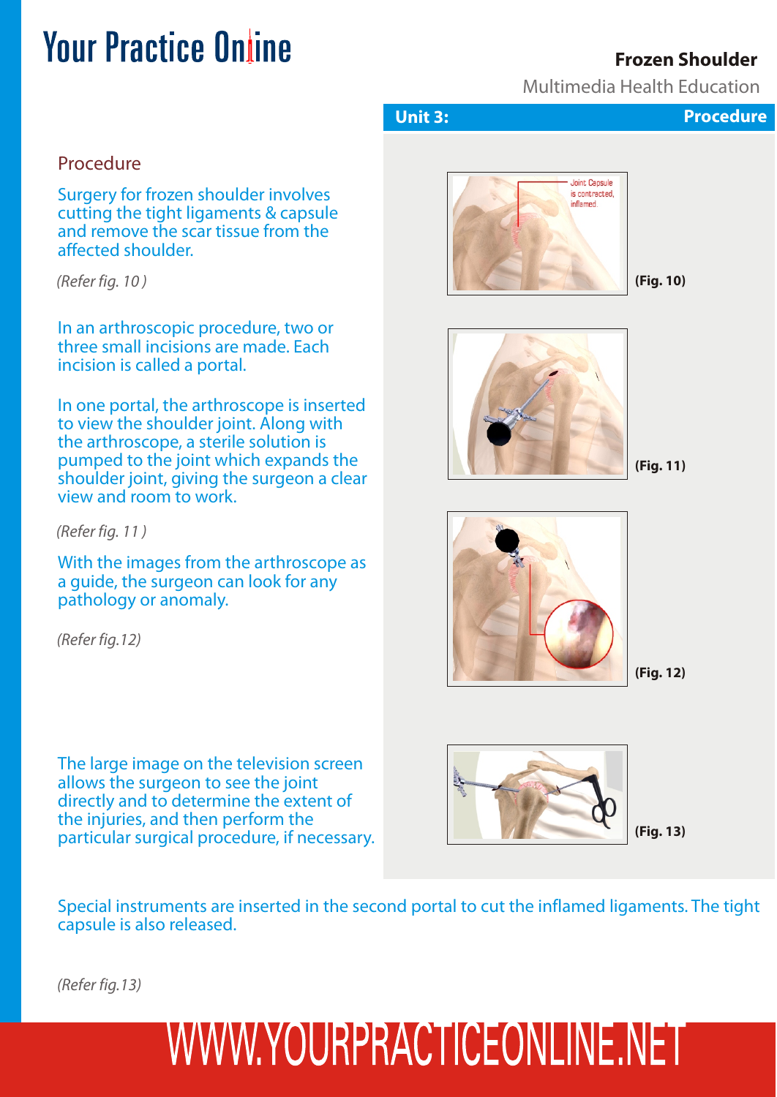#### **Frozen Shoulder**

Multimedia Health Education

#### Procedure

Surgery for frozen shoulder involves cutting the tight ligaments & capsule and remove the scar tissue from the affected shoulder.

*(Refer fig. 10 )*

In an arthroscopic procedure, two or three small incisions are made. Each incision is called a portal.

In one portal, the arthroscope is inserted to view the shoulder joint. Along with the arthroscope, a sterile solution is pumped to the joint which expands the shoulder joint, giving the surgeon a clear view and room to work.

*(Refer fig. 11 )*

With the images from the arthroscope as a guide, the surgeon can look for any pathology or anomaly.

*(Refer fig.12)*

The large image on the television screen allows the surgeon to see the joint directly and to determine the extent of the injuries, and then perform the particular surgical procedure, if necessary.



**Unit 3:** Frozen S Procedure



**(Fig. 10)**



**(Fig. 11)**



**(Fig. 12)**



**(Fig. 13)**

Special instruments are inserted in the second portal to cut the inflamed ligaments. The tight capsule is also released.

*(Refer fig.13)*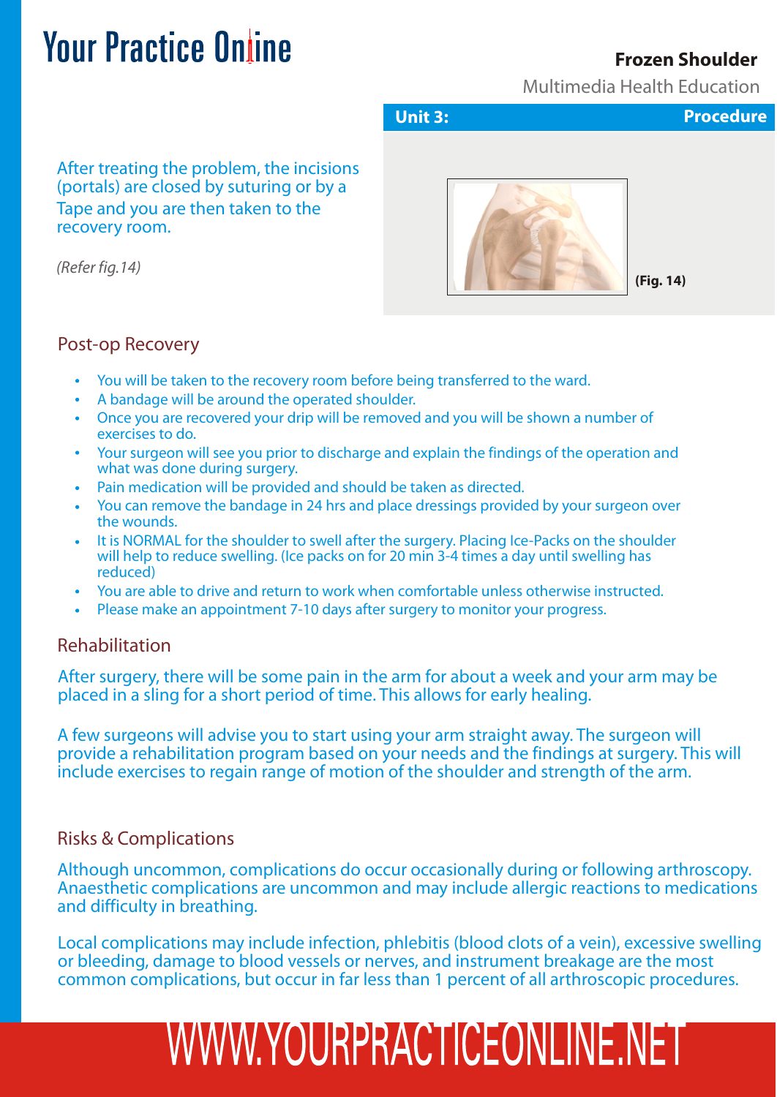#### **Frozen Shoulder**

Multimedia Health Education

After treating the problem, the incisions (portals) are closed by suturing or by a Tape and you are then taken to the recovery room.

*(Refer fig.14)*

**Unit 3: Procedure**



**(Fig. 14)**

#### Post-op Recovery

- You will be taken to the recovery room before being transferred to the ward.
- A bandage will be around the operated shoulder.
- Once you are recovered your drip will be removed and you will be shown a number of exercises to do.
- Your surgeon will see you prior to discharge and explain the findings of the operation and what was done during surgery.
- Pain medication will be provided and should be taken as directed.
- You can remove the bandage in 24 hrs and place dressings provided by your surgeon over the wounds.
- It is NORMAL for the shoulder to swell after the surgery. Placing Ice-Packs on the shoulder will help to reduce swelling. (Ice packs on for 20 min 3-4 times a day until swelling has reduced)
- You are able to drive and return to work when comfortable unless otherwise instructed.
- Please make an appointment 7-10 days after surgery to monitor your progress.

#### Rehabilitation

After surgery, there will be some pain in the arm for about a week and your arm may be placed in a sling for a short period of time. This allows for early healing.

A few surgeons will advise you to start using your arm straight away. The surgeon will provide a rehabilitation program based on your needs and the findings at surgery. This will include exercises to regain range of motion of the shoulder and strength of the arm.

#### Risks & Complications

Although uncommon, complications do occur occasionally during or following arthroscopy. Anaesthetic complications are uncommon and may include allergic reactions to medications and difficulty in breathing.

Local complications may include infection, phlebitis (blood clots of a vein), excessive swelling or bleeding, damage to blood vessels or nerves, and instrument breakage are the most common complications, but occur in far less than 1 percent of all arthroscopic procedures.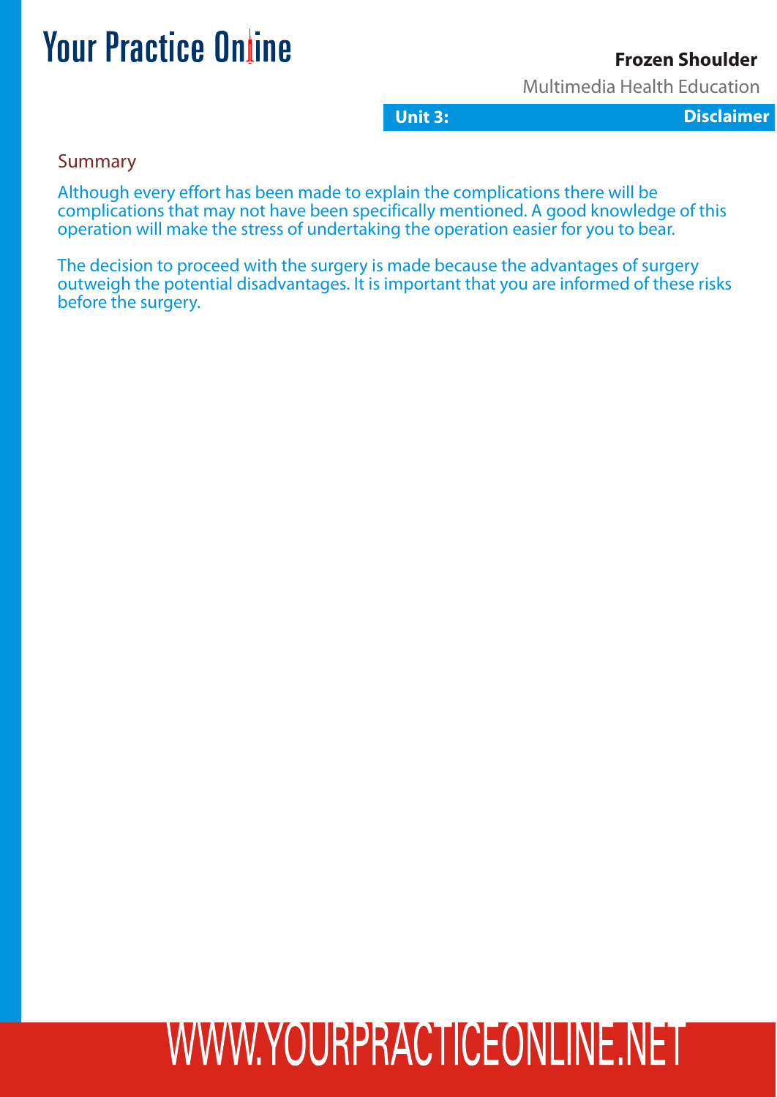#### **Frozen Shoulder**

Multimedia Health Education

**Unit 3:** Disclaimer

Summary

Although every effort has been made to explain the complications there will be complications that may not have been specifically mentioned. A good knowledge of this operation will make the stress of undertaking the operation easier for you to bear.

The decision to proceed with the surgery is made because the advantages of surgery outweigh the potential disadvantages. It is important that you are informed of these risks before the surgery.